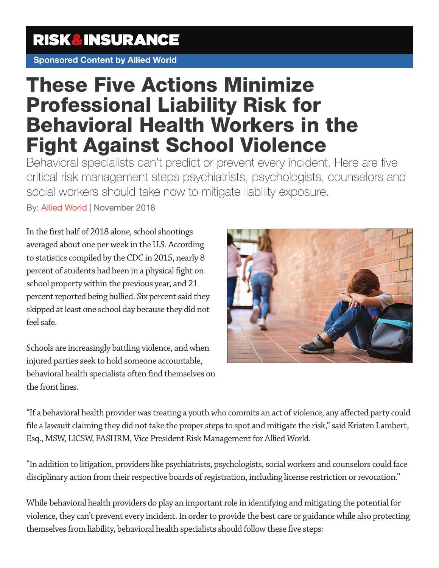### **RISK&INSURANCE**

Sponsored Content by Allied World

# These Five Actions Minimize Professional Liability Risk for Behavioral Health Workers in the Fight Against School Violence

Behavioral specialists can't predict or prevent every incident. Here are five critical risk management steps psychiatrists, psychologists, counselors and social workers should take now to mitigate liability exposure.

By: Allied World | November 2018

In the first half of 2018 alone, school shootings averaged about one per week in the U.S. According to statistics compiled by the CDC in 2015, nearly 8 percent of students had been in a physical fight on school property within the previous year, and 21 percent reported being bullied. Six percent said they skipped at least one school day because they did not feel safe.

Schools are increasingly battling violence, and when injured parties seek to hold someone accountable, behavioral health specialists often find themselves on the front lines.



"If a behavioral health provider was treating a youth who commits an act of violence, any affected party could file a lawsuit claiming they did not take the proper steps to spot and mitigate the risk," said Kristen Lambert, Esq., MSW, LICSW, FASHRM, Vice President Risk Management for Allied World.

"In addition to litigation, providers like psychiatrists, psychologists, social workers and counselors could face disciplinary action from their respective boards of registration, including license restriction or revocation."

While behavioral health providers do play an important role in identifying and mitigating the potential for violence, they can't prevent every incident. In order to provide the best care or guidance while also protecting themselves from liability, behavioral health specialists should follow these five steps: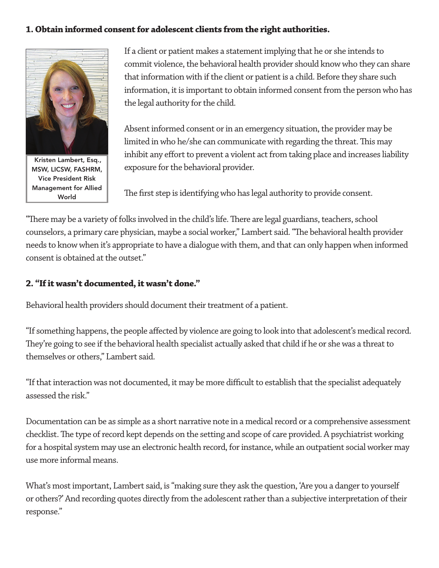#### **1. Obtain informed consent for adolescent clients from the right authorities.**



Kristen Lambert, Esq., MSW, LICSW, FASHRM, Vice President Risk Management for Allied World

If a client or patient makes a statement implying that he or she intends to commit violence, the behavioral health provider should know who they can share that information with if the client or patient is a child. Before they share such information, it is important to obtain informed consent from the person who has the legal authority for the child.

Absent informed consent or in an emergency situation, the provider may be limited in who he/she can communicate with regarding the threat. This may inhibit any effort to prevent a violent act from taking place and increases liability exposure for the behavioral provider.

The first step is identifying who has legal authority to provide consent.

"There may be a variety of folks involved in the child's life. There are legal guardians, teachers, school counselors, a primary care physician, maybe a social worker," Lambert said. "The behavioral health provider needs to know when it's appropriate to have a dialogue with them, and that can only happen when informed consent is obtained at the outset."

#### **2. "If it wasn't documented, it wasn't done."**

Behavioral health providers should document their treatment of a patient.

"If something happens, the people affected by violence are going to look into that adolescent's medical record. They're going to see if the behavioral health specialist actually asked that child if he or she was a threat to themselves or others," Lambert said.

"If that interaction was not documented, it may be more difficult to establish that the specialist adequately assessed the risk."

Documentation can be as simple as a short narrative note in a medical record or a comprehensive assessment checklist. The type of record kept depends on the setting and scope of care provided. A psychiatrist working for a hospital system may use an electronic health record, for instance, while an outpatient social worker may use more informal means.

What's most important, Lambert said, is "making sure they ask the question, 'Are you a danger to yourself or others?' And recording quotes directly from the adolescent rather than a subjective interpretation of their response."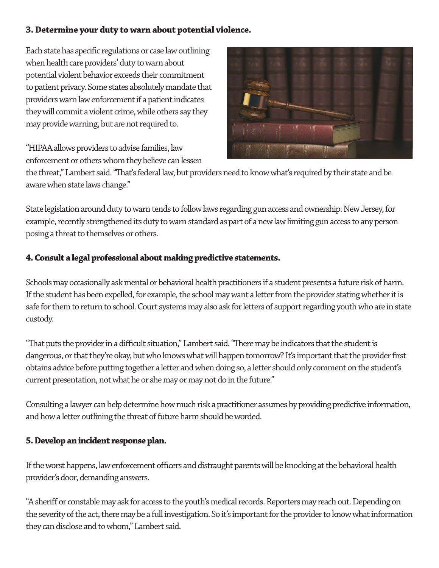#### **3. Determine your duty to warn about potential violence.**

Each state has specific regulations or case law outlining when health care providers' duty to warn about potential violent behavior exceeds their commitment to patient privacy. Some states absolutely mandate that providers warn law enforcement if a patient indicates they will commit a violent crime, while others say they may provide warning, but are not required to.

"HIPAA allows providers to advise families, law enforcement or others whom they believe can lessen



the threat," Lambert said. "That's federal law, but providers need to know what's required by their state and be aware when state laws change."

State legislation around duty to warn tends to follow laws regarding gun access and ownership. New Jersey, for example, recently strengthened its duty to warn standard as part of a new law limiting gun access to any person posing a threat to themselves or others.

#### **4. Consult a legal professional about making predictive statements.**

Schools may occasionally ask mental or behavioral health practitioners if a student presents a future risk of harm. If the student has been expelled, for example, the school may want a letter from the provider stating whether it is safe for them to return to school. Court systems may also ask for letters of support regarding youth who are in state custody.

"That puts the provider in a difficult situation," Lambert said. "There may be indicators that the student is dangerous, or that they're okay, but who knows what will happen tomorrow? It's important that the provider first obtains advice before putting together a letter and when doing so, a letter should only comment on the student's current presentation, not what he or she may or may not do in the future."

Consulting a lawyer can help determine how much risk a practitioner assumes by providing predictive information, and how a letter outlining the threat of future harm should be worded.

#### **5. Develop an incident response plan.**

If the worst happens, law enforcement officers and distraught parents will be knocking at the behavioral health provider's door, demanding answers.

"A sheriff or constable may ask for access to the youth's medical records. Reporters may reach out. Depending on the severity of the act, there may be a full investigation. So it's important for the provider to know what information they can disclose and to whom," Lambert said.